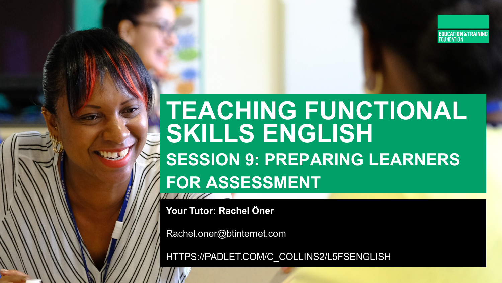

# **TEACHING FUNCTIONAL** SKILLS ENGLISH **SESSION 9: PREPARING LEARNERS FOR ASSESSMENT**

Your Tutor: Rachel Öner

Rachel.oner@btinternet.com

HTTPS://PADLET.COM/C\_COLLINS2/L5FSENGLISH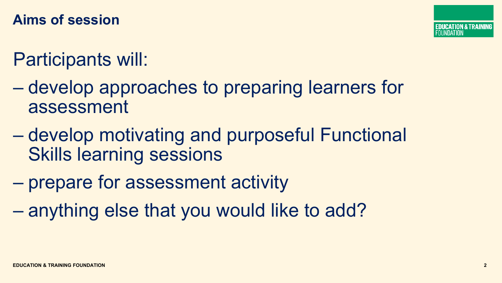### **Aims of session**

## Participants will:

- develop approaches to preparing learners for assessment
- develop motivating and purposeful Functional Skills learning sessions
- prepare for assessment activity
- anything else that you would like to add?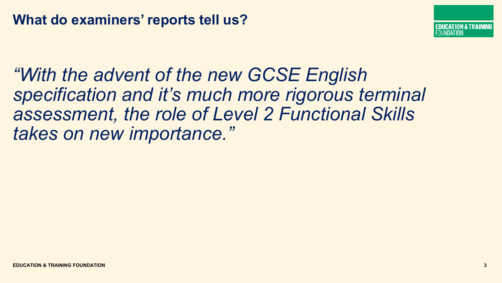

*"With the advent of the new GCSE English specification and it's much more rigorous terminal assessment, the role of Level 2 Functional Skills takes on new importance."*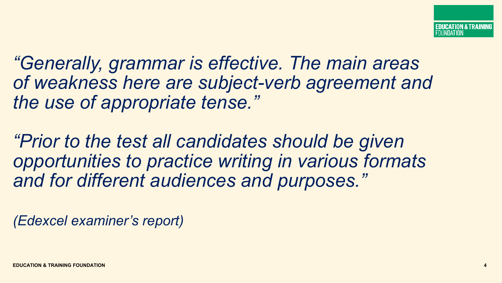*"Generally, grammar is effective. The main areas of weakness here are subject-verb agreement and the use of appropriate tense."*

*"Prior to the test all candidates should be given opportunities to practice writing in various formats and for different audiences and purposes."* 

*(Edexcel examiner's report)*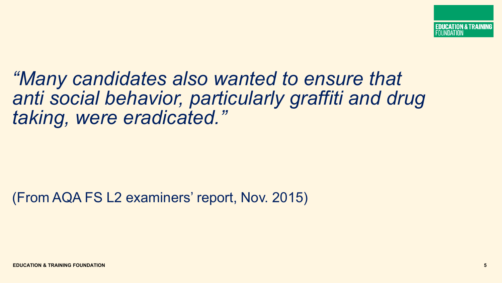FDUCATION & TRAINING IINNATION

*"Many candidates also wanted to ensure that anti social behavior, particularly graffiti and drug taking, were eradicated."*

(From AQA FS L2 examiners' report, Nov. 2015)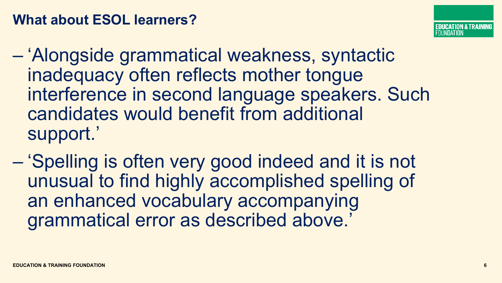### **What about ESOL learners?**



- 'Alongside grammatical weakness, syntactic inadequacy often reflects mother tongue interference in second language speakers. Such candidates would benefit from additional support.'
- 'Spelling is often very good indeed and it is not unusual to find highly accomplished spelling of an enhanced vocabulary accompanying grammatical error as described above.'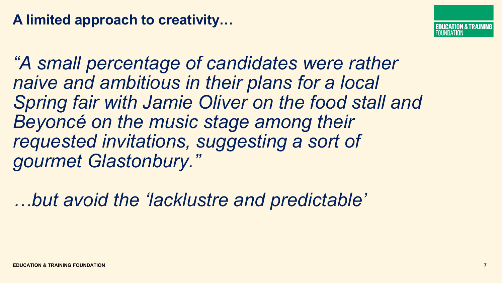### **A limited approach to creativity…**

*"A small percentage of candidates were rather naive and ambitious in their plans for a local Spring fair with Jamie Oliver on the food stall and Beyoncé on the music stage among their requested invitations, suggesting a sort of gourmet Glastonbury."* 

*…but avoid the 'lacklustre and predictable'*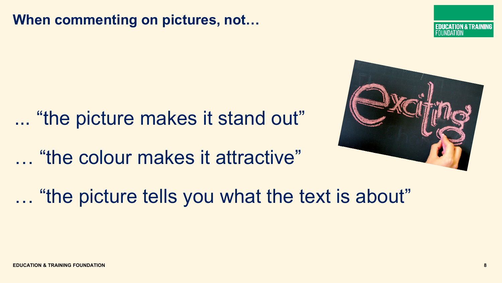### **When commenting on pictures, not…**

… "the picture makes it stand out" … "the colour makes it attractive"

… "the picture tells you what the text is about"



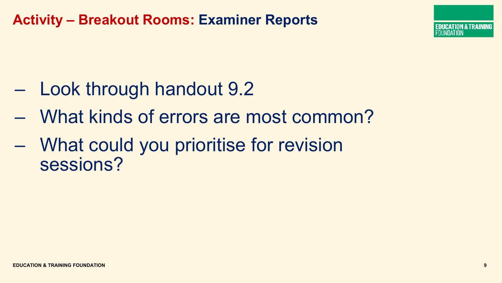### **Activity – Breakout Rooms: Examiner Reports**

- Look through handout 9.2
- What kinds of errors are most common?
- What could you prioritise for revision sessions?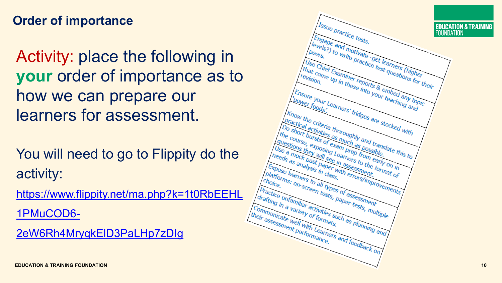### **Order of importance**

Activity: place the following in **your** order of importance as to how we can prepare our learners for assessment.

You will need to go to Flippity do the activity:

[https://www.flippity.net/ma.php?k=1t0RbEEHL](https://www.flippity.net/ma.php?k=1t0RbEEHL1PMuCOD6-2eW6Rh4MryqkElD3PaLHp7zDIg)

1PMuCOD6 -

2eW6Rh4MryqkElD3PaLHp7zDIg

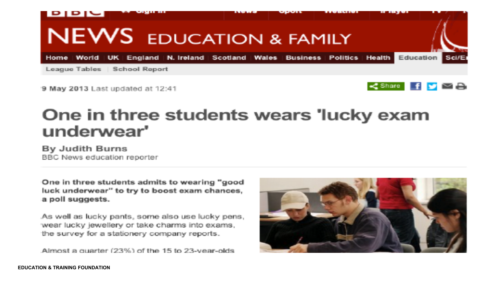

9 May 2013 Last updated at 12:41



### One in three students wears 'lucky exam underwear'

By Judith Burns BBC News education reporter

One in three students admits to wearing "good luck underwear" to try to boost exam chances. a poll suggests.

As well as lucky pants, some also use lucky pens, wear lucky jewellery or take charms into exams, the survey for a stationery company reports.

Almost a quarter (23%) of the 15 to 23-year-olds

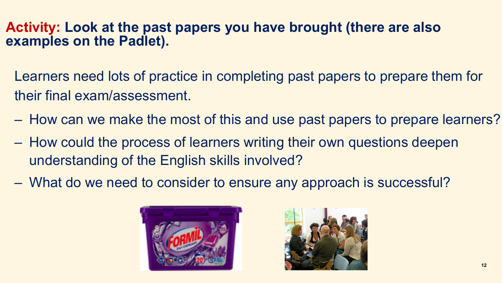### **Activity: Look at the past papers you have brought (there are also examples on the Padlet).**

- Learners need lots of practice in completing past papers to prepare them for their final exam/assessment.
- How can we make the most of this and use past papers to prepare learners?
- How could the process of learners writing their own questions deepen understanding of the English skills involved?
- What do we need to consider to ensure any approach is successful?



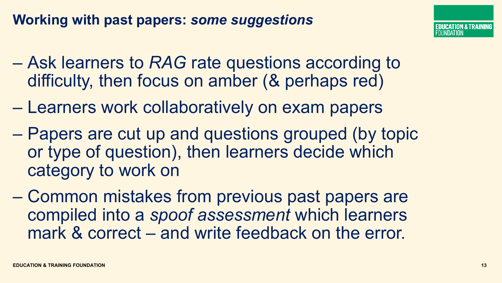### **Working with past papers:** *some suggestions*

- Ask learners to *RAG* rate questions according to difficulty, then focus on amber (& perhaps red)
- Learners work collaboratively on exam papers
- Papers are cut up and questions grouped (by topic or type of question), then learners decide which category to work on
- Common mistakes from previous past papers are compiled into a *spoof assessment* which learners mark & correct – and write feedback on the error.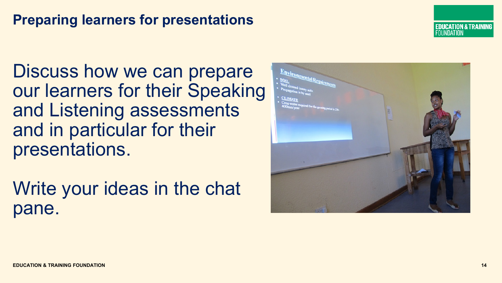### **Preparing learners for presentations**

Discuss how we can prepare our learners for their Speaking and Listening assessments and in particular for their presentations.

Write your ideas in the chat pane.



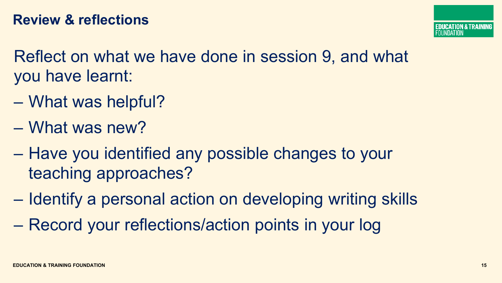Reflect on what we have done in session 9, and what you have learnt:

- What was helpful?
- What was new?
- Have you identified any possible changes to your teaching approaches?
- Identify a personal action on developing writing skills
- Record your reflections/action points in your log